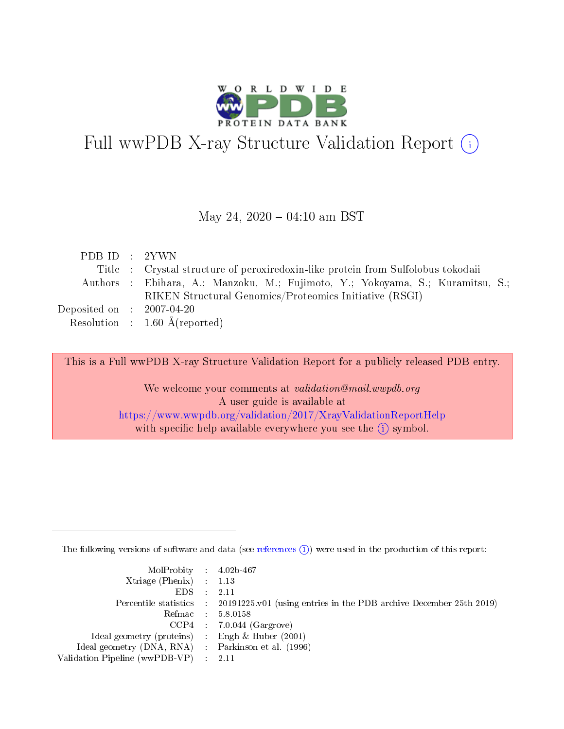

# Full wwPDB X-ray Structure Validation Report (i)

#### May 24,  $2020 - 04:10$  am BST

| PDBID : 2YWN                                              |                                                                                  |
|-----------------------------------------------------------|----------------------------------------------------------------------------------|
|                                                           | Title : Crystal structure of peroxiredoxin-like protein from Sulfolobus tokodaii |
|                                                           | Authors: Ebihara, A.; Manzoku, M.; Fujimoto, Y.; Yokoyama, S.; Kuramitsu, S.;    |
|                                                           | RIKEN Structural Genomics/Proteomics Initiative (RSGI)                           |
| $\rm Deposited\; on \;\; : \;\; 2007\mbox{-}04\mbox{-}20$ |                                                                                  |
|                                                           | Resolution : $1.60 \text{ Å}$ (reported)                                         |

This is a Full wwPDB X-ray Structure Validation Report for a publicly released PDB entry.

We welcome your comments at validation@mail.wwpdb.org A user guide is available at <https://www.wwpdb.org/validation/2017/XrayValidationReportHelp> with specific help available everywhere you see the  $(i)$  symbol.

The following versions of software and data (see [references](https://www.wwpdb.org/validation/2017/XrayValidationReportHelp#references)  $(i)$ ) were used in the production of this report:

| MolProbity : 4.02b-467                              |                                                                                            |
|-----------------------------------------------------|--------------------------------------------------------------------------------------------|
| $Xtriangle (Phenix)$ : 1.13                         |                                                                                            |
| $EDS = 2.11$                                        |                                                                                            |
|                                                     | Percentile statistics : 20191225.v01 (using entries in the PDB archive December 25th 2019) |
|                                                     | Refmac : 5.8.0158                                                                          |
|                                                     | $CCP4$ : 7.0.044 (Gargrove)                                                                |
| Ideal geometry (proteins) : Engh $\&$ Huber (2001)  |                                                                                            |
| Ideal geometry (DNA, RNA) : Parkinson et al. (1996) |                                                                                            |
| Validation Pipeline (wwPDB-VP) : 2.11               |                                                                                            |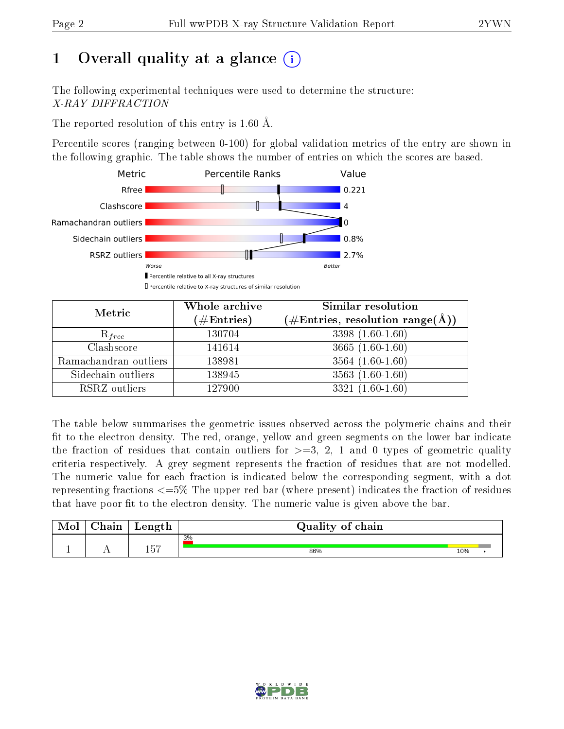## 1 [O](https://www.wwpdb.org/validation/2017/XrayValidationReportHelp#overall_quality)verall quality at a glance  $(i)$

The following experimental techniques were used to determine the structure: X-RAY DIFFRACTION

The reported resolution of this entry is 1.60 Å.

Percentile scores (ranging between 0-100) for global validation metrics of the entry are shown in the following graphic. The table shows the number of entries on which the scores are based.



| Metric                | Whole archive<br>$(\#\text{Entries})$ | Similar resolution<br>$(\#\text{Entries},\,\text{resolution}\,\,\text{range}(\textup{\AA}))$ |
|-----------------------|---------------------------------------|----------------------------------------------------------------------------------------------|
| $R_{free}$            | 130704                                | $3398(1.60-1.60)$                                                                            |
| Clashscore            | 141614                                | 3665 $(1.60-1.60)$                                                                           |
| Ramachandran outliers | 138981                                | $3564(1.60-1.60)$                                                                            |
| Sidechain outliers    | 138945                                | $3563(1.60-1.60)$                                                                            |
| RSRZ outliers         | 127900                                | $3321(1.60-1.60)$                                                                            |

The table below summarises the geometric issues observed across the polymeric chains and their fit to the electron density. The red, orange, yellow and green segments on the lower bar indicate the fraction of residues that contain outliers for  $>=3, 2, 1$  and 0 types of geometric quality criteria respectively. A grey segment represents the fraction of residues that are not modelled. The numeric value for each fraction is indicated below the corresponding segment, with a dot representing fractions  $\epsilon=5\%$  The upper red bar (where present) indicates the fraction of residues that have poor fit to the electron density. The numeric value is given above the bar.

| Mol | $\gamma$ hain | Length           | Quality of chain |     |  |
|-----|---------------|------------------|------------------|-----|--|
|     |               |                  | 3%               |     |  |
|     |               | <b>K7</b><br>ΙU. | 86%              | 10% |  |

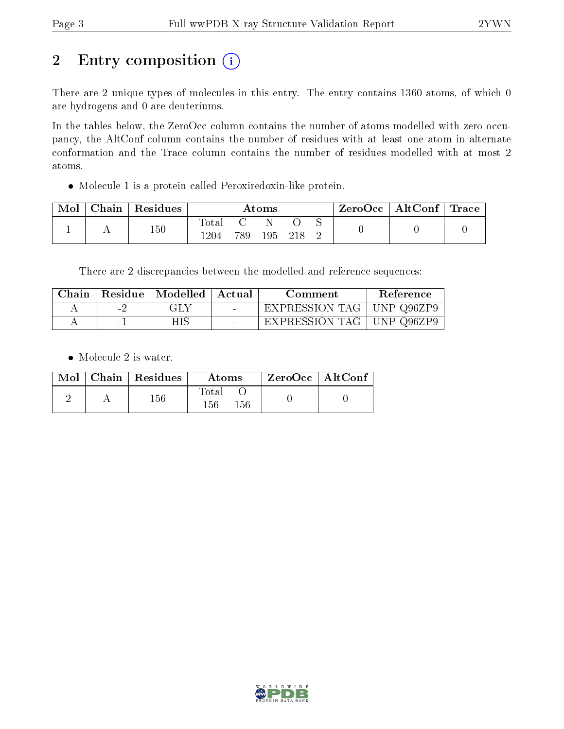## 2 Entry composition (i)

There are 2 unique types of molecules in this entry. The entry contains 1360 atoms, of which 0 are hydrogens and 0 are deuteriums.

In the tables below, the ZeroOcc column contains the number of atoms modelled with zero occupancy, the AltConf column contains the number of residues with at least one atom in alternate conformation and the Trace column contains the number of residues modelled with at most 2 atoms.

Molecule 1 is a protein called Peroxiredoxin-like protein.

| Mol | Chain   Residues | $\rm{Atoms}$  |     |     |  |  | ZeroOcc   AltConf   Trace |  |
|-----|------------------|---------------|-----|-----|--|--|---------------------------|--|
|     | 150              | fotal<br>1204 | 789 | 195 |  |  |                           |  |

There are 2 discrepancies between the modelled and reference sequences:

| Chain |     | Residue   Modelled | ∣ Actual | Comment                     | Reference |
|-------|-----|--------------------|----------|-----------------------------|-----------|
|       | - 7 | GLY                |          | EXPRESSION TAG   UNP Q96ZP9 |           |
|       |     | HIS                | $\sim$   | EXPRESSION TAG   UNP Q96ZP9 |           |

• Molecule 2 is water.

|  | $Mol$   Chain   Residues | Atoms                   | $ZeroOcc \   \ AltConf$ |  |
|--|--------------------------|-------------------------|-------------------------|--|
|  | $156\,$                  | Total<br>156<br>$156\,$ |                         |  |

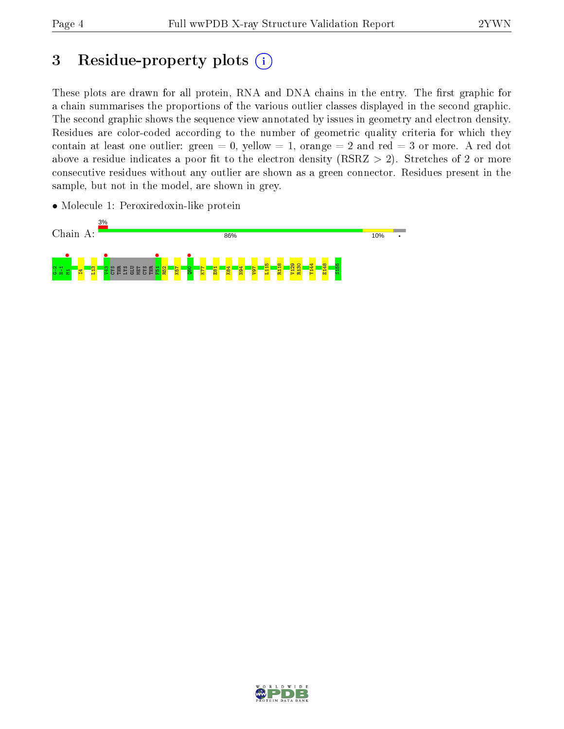## 3 Residue-property plots  $(i)$

These plots are drawn for all protein, RNA and DNA chains in the entry. The first graphic for a chain summarises the proportions of the various outlier classes displayed in the second graphic. The second graphic shows the sequence view annotated by issues in geometry and electron density. Residues are color-coded according to the number of geometric quality criteria for which they contain at least one outlier: green  $= 0$ , yellow  $= 1$ , orange  $= 2$  and red  $= 3$  or more. A red dot above a residue indicates a poor fit to the electron density (RSRZ  $> 2$ ). Stretches of 2 or more consecutive residues without any outlier are shown as a green connector. Residues present in the sample, but not in the model, are shown in grey.

• Molecule 1: Peroxiredoxin-like protein



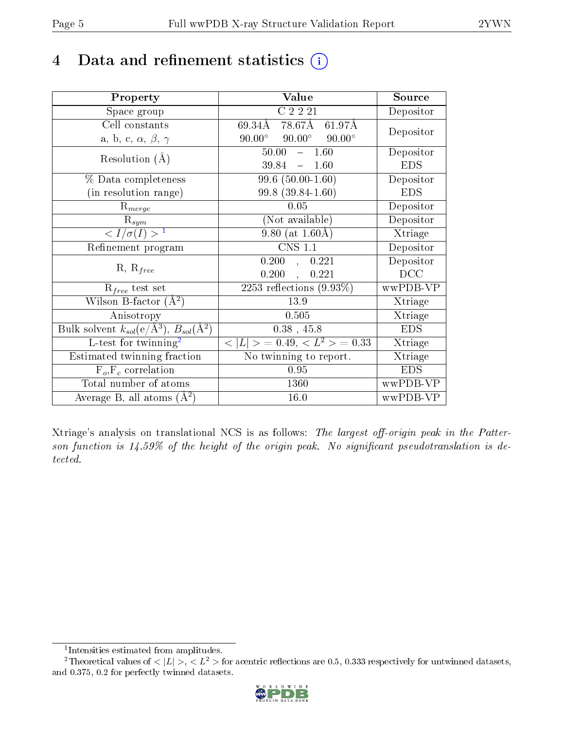## 4 Data and refinement statistics  $(i)$

| Property                                                         | Value                                           | Source     |
|------------------------------------------------------------------|-------------------------------------------------|------------|
| Space group                                                      | C2221                                           | Depositor  |
| Cell constants                                                   | $78.67\text{\AA}$ 61.97Å<br>69.34Å              | Depositor  |
| a, b, c, $\alpha$ , $\beta$ , $\gamma$                           | $90.00^\circ$<br>$90.00^\circ$<br>$90.00^\circ$ |            |
| Resolution $(A)$                                                 | 50.00<br>1.60<br>$\frac{1}{2}$                  | Depositor  |
|                                                                  | 39.84<br>$-1.60$                                | <b>EDS</b> |
| $\%$ Data completeness                                           | $99.6(50.00-1.60)$                              | Depositor  |
| (in resolution range)                                            | 99.8 (39.84-1.60)                               | <b>EDS</b> |
| $\mathrm{R}_{merge}$                                             | 0.05                                            | Depositor  |
| $\mathrm{R}_{sym}$                                               | (Not available)                                 | Depositor  |
| $\langle I/\sigma(I) \rangle^{-1}$                               | 9.80 (at $1.60\text{\AA}$ )                     | Xtriage    |
| Refinement program                                               | <b>CNS 1.1</b>                                  | Depositor  |
| $R, R_{free}$                                                    | 0.200<br>0.221<br>$\mathbf{A}$                  | Depositor  |
|                                                                  | 0.200<br>0.221                                  | DCC        |
| $R_{free}$ test set                                              | $\overline{2253}$ reflections $(9.93\%)$        | wwPDB-VP   |
| Wilson B-factor $(A^2)$                                          | 13.9                                            | Xtriage    |
| Anisotropy                                                       | 0.505                                           | Xtriage    |
| Bulk solvent $k_{sol}(\text{e}/\text{A}^3), B_{sol}(\text{A}^2)$ | $0.38$ , 45.8                                   | <b>EDS</b> |
| L-test for twinning <sup>2</sup>                                 | $< L >$ = 0.49, $< L2$ = 0.33                   | Xtriage    |
| Estimated twinning fraction                                      | No twinning to report.                          | Xtriage    |
| $F_o, F_c$ correlation                                           | 0.95                                            | <b>EDS</b> |
| Total number of atoms                                            | 1360                                            | wwPDB-VP   |
| Average B, all atoms $(A^2)$                                     | 16.0                                            | wwPDB-VP   |

Xtriage's analysis on translational NCS is as follows: The largest off-origin peak in the Patterson function is  $14.59\%$  of the height of the origin peak. No significant pseudotranslation is detected.

<sup>&</sup>lt;sup>2</sup>Theoretical values of  $\langle |L| \rangle$ ,  $\langle L^2 \rangle$  for acentric reflections are 0.5, 0.333 respectively for untwinned datasets, and 0.375, 0.2 for perfectly twinned datasets.



<span id="page-4-1"></span><span id="page-4-0"></span><sup>1</sup> Intensities estimated from amplitudes.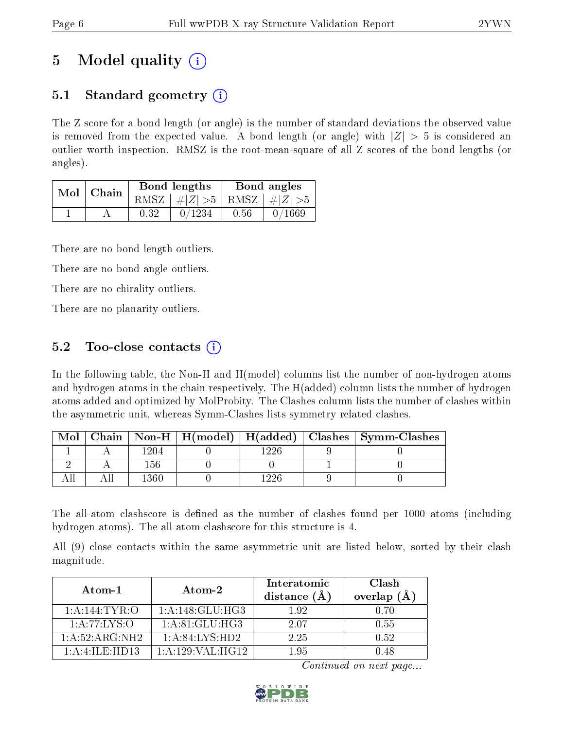## 5 Model quality  $(i)$

## 5.1 Standard geometry  $\overline{()}$

The Z score for a bond length (or angle) is the number of standard deviations the observed value is removed from the expected value. A bond length (or angle) with  $|Z| > 5$  is considered an outlier worth inspection. RMSZ is the root-mean-square of all Z scores of the bond lengths (or angles).

|  | Mol   Chain |      | Bond lengths                    | Bond angles |        |
|--|-------------|------|---------------------------------|-------------|--------|
|  |             |      | RMSZ $ #Z  > 5$ RMSZ $ #Z  > 5$ |             |        |
|  |             | 0.32 | 0/1234                          | 0.56        | 0/1669 |

There are no bond length outliers.

There are no bond angle outliers.

There are no chirality outliers.

There are no planarity outliers.

### 5.2 Too-close contacts  $\overline{()}$

In the following table, the Non-H and H(model) columns list the number of non-hydrogen atoms and hydrogen atoms in the chain respectively. The H(added) column lists the number of hydrogen atoms added and optimized by MolProbity. The Clashes column lists the number of clashes within the asymmetric unit, whereas Symm-Clashes lists symmetry related clashes.

| Mol |       |  | Chain   Non-H   H(model)   H(added)   Clashes   Symm-Clashes |
|-----|-------|--|--------------------------------------------------------------|
|     | ' 204 |  |                                                              |
|     | . 56  |  |                                                              |
|     | 360   |  |                                                              |

The all-atom clashscore is defined as the number of clashes found per 1000 atoms (including hydrogen atoms). The all-atom clashscore for this structure is 4.

All (9) close contacts within the same asymmetric unit are listed below, sorted by their clash magnitude.

| Atom-1                 | Atom-2                      | Interatomic<br>distance $(A)$ | Clash<br>overlap<br>(A) |
|------------------------|-----------------------------|-------------------------------|-------------------------|
| 1: A:144: TYR:O        | 1:A:148:GLU:HG3             | 192                           | 0. ZO                   |
| 1: A:77: LYS:O         | 1: A:81: GLU:HG3            | 2.07                          | 0.55                    |
| 1:A:52:ARG:NH2         | $1:A:84:\overline{LYS:HD2}$ | 2.25                          | 0.52                    |
| $1:$ A $:4:$ ILE: HD13 | 1: A: 129: VAL: HG12        | 195                           | N 48                    |

Continued on next page...

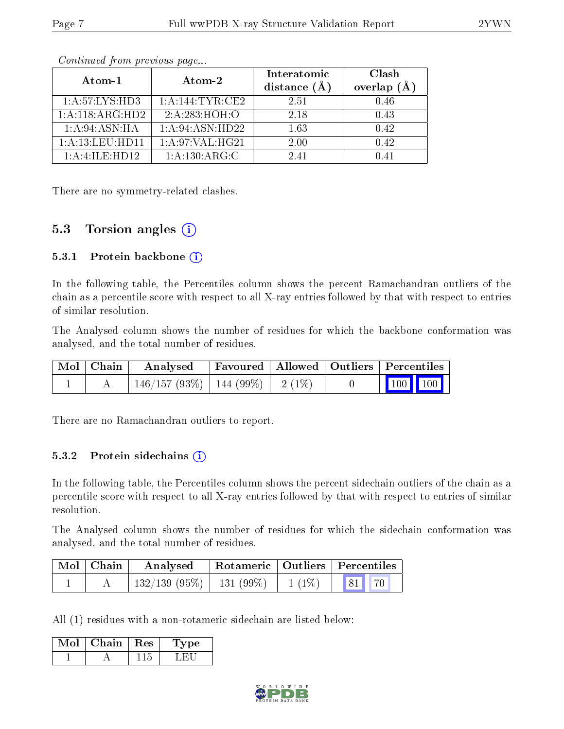| Atom-1             | Atom-2                       | Interatomic<br>distance $(A)$ | Clash<br>overlap $(A)$ |
|--------------------|------------------------------|-------------------------------|------------------------|
| 1:A:57:LYS:HD3     | 1: A:144:TYR:CE2             | 2.51                          | 0.46                   |
| 1:A:118:ARG:HD2    | $2:A.\overline{283. HOH. O}$ | 2.18                          | 0.43                   |
| 1:A:94:ASN:HA      | 1: A:94: ASN:HD22            | 1.63                          | 0.42                   |
| 1: A:13: LEU: HD11 | 1:A:97:VAL:HG21              | 2.00                          | 0.42                   |
| 1:A:4:ILE:HD12     | 1: A: 130: ARG: C            | 2.41                          | N 41                   |

Continued from previous page...

There are no symmetry-related clashes.

### 5.3 Torsion angles  $(i)$

#### 5.3.1 Protein backbone  $(i)$

In the following table, the Percentiles column shows the percent Ramachandran outliers of the chain as a percentile score with respect to all X-ray entries followed by that with respect to entries of similar resolution.

The Analysed column shows the number of residues for which the backbone conformation was analysed, and the total number of residues.

| Mol   Chain | Analysed                                | Favoured   Allowed   Outliers   Percentiles |  |                                                            |  |
|-------------|-----------------------------------------|---------------------------------------------|--|------------------------------------------------------------|--|
|             | $146/157 (93\%)$   144 (99\%)   2 (1\%) |                                             |  | $\begin{array}{ c c c c }\n\hline\n100 & 100\n\end{array}$ |  |

There are no Ramachandran outliers to report.

#### 5.3.2 Protein sidechains (i)

In the following table, the Percentiles column shows the percent sidechain outliers of the chain as a percentile score with respect to all X-ray entries followed by that with respect to entries of similar resolution.

The Analysed column shows the number of residues for which the sidechain conformation was analysed, and the total number of residues.

| Mol   Chain | Analysed                      |          | $\mid$ Rotameric $\mid$ Outliers $\mid$ Percentiles |
|-------------|-------------------------------|----------|-----------------------------------------------------|
|             | $132/139$ (95\%)   131 (99\%) | $1(1\%)$ | 81 70                                               |

All (1) residues with a non-rotameric sidechain are listed below:

| $\mathrm{Mol}\mid\mathrm{Chain}\mid\mathrm{Res}$ | 'Type |
|--------------------------------------------------|-------|
|                                                  |       |

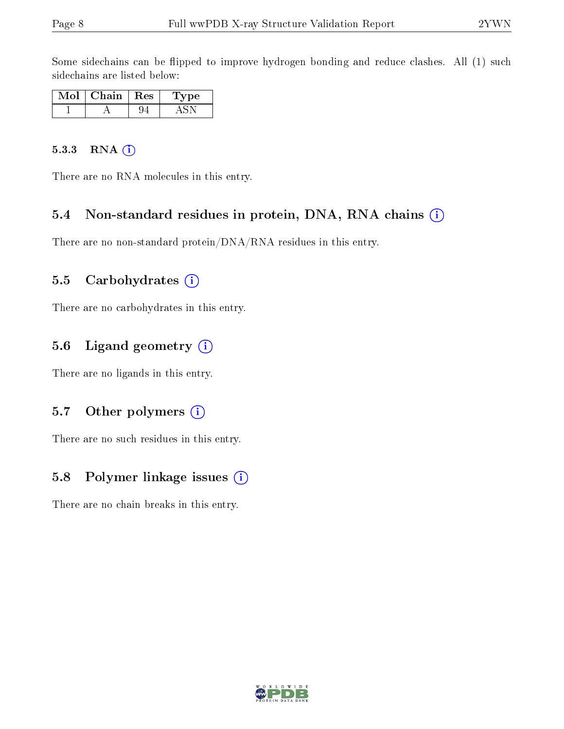Some sidechains can be flipped to improve hydrogen bonding and reduce clashes. All (1) such sidechains are listed below:

| Mol | Chain | ${\rm Res}$ | ype |
|-----|-------|-------------|-----|
|     |       |             |     |

#### 5.3.3 RNA (i)

There are no RNA molecules in this entry.

#### 5.4 Non-standard residues in protein, DNA, RNA chains (i)

There are no non-standard protein/DNA/RNA residues in this entry.

#### 5.5 Carbohydrates  $(i)$

There are no carbohydrates in this entry.

#### 5.6 Ligand geometry (i)

There are no ligands in this entry.

#### 5.7 [O](https://www.wwpdb.org/validation/2017/XrayValidationReportHelp#nonstandard_residues_and_ligands)ther polymers  $(i)$

There are no such residues in this entry.

#### 5.8 Polymer linkage issues  $(i)$

There are no chain breaks in this entry.